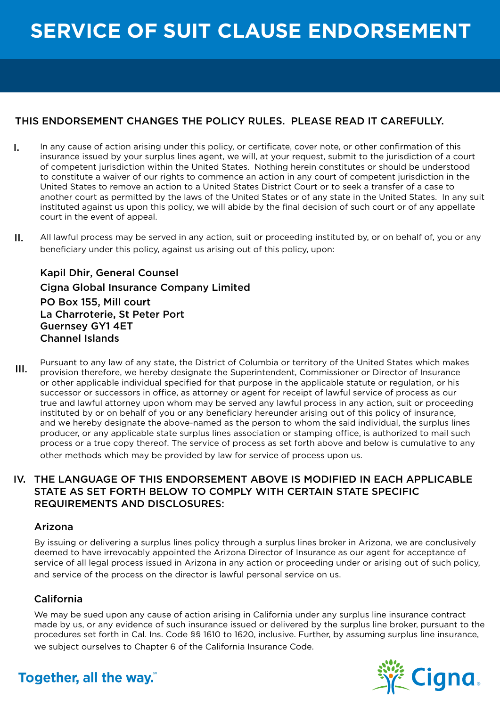# **SERVICE OF SUIT CLAUSE ENDORSEMENT**

### THIS ENDORSEMENT CHANGES THE POLICY RULES. PLEASE READ IT CAREFULLY.

- In any cause of action arising under this policy, or certificate, cover note, or other confirmation of this insurance issued by your surplus lines agent, we will, at your request, submit to the jurisdiction of a court of competent jurisdiction within the United States. Nothing herein constitutes or should be understood to constitute a waiver of our rights to commence an action in any court of competent jurisdiction in the United States to remove an action to a United States District Court or to seek a transfer of a case to another court as permitted by the laws of the United States or of any state in the United States. In any suit instituted against us upon this policy, we will abide by the final decision of such court or of any appellate court in the event of appeal. I.
- All lawful process may be served in any action, suit or proceeding instituted by, or on behalf of, you or any beneficiary under this policy, against us arising out of this policy, upon: II.

Kapil Dhir, General Counsel Cigna Global Insurance Company Limited PO Box 155, Mill court La Charroterie, St Peter Port Guernsey GY1 4ET Channel Islands

Pursuant to any law of any state, the District of Columbia or territory of the United States which makes provision therefore, we hereby designate the Superintendent, Commissioner or Director of Insurance or other applicable individual specified for that purpose in the applicable statute or regulation, or his successor or successors in office, as attorney or agent for receipt of lawful service of process as our true and lawful attorney upon whom may be served any lawful process in any action, suit or proceeding instituted by or on behalf of you or any beneficiary hereunder arising out of this policy of insurance, and we hereby designate the above-named as the person to whom the said individual, the surplus lines producer, or any applicable state surplus lines association or stamping office, is authorized to mail such process or a true copy thereof. The service of process as set forth above and below is cumulative to any other methods which may be provided by law for service of process upon us. III.

### THE LANGUAGE OF THIS ENDORSEMENT ABOVE IS MODIFIED IN EACH APPLICABLE IV. STATE AS SET FORTH BELOW TO COMPLY WITH CERTAIN STATE SPECIFIC REQUIREMENTS AND DISCLOSURES:

### Arizona

By issuing or delivering a surplus lines policy through a surplus lines broker in Arizona, we are conclusively deemed to have irrevocably appointed the Arizona Director of Insurance as our agent for acceptance of service of all legal process issued in Arizona in any action or proceeding under or arising out of such policy, and service of the process on the director is lawful personal service on us.

### California

We may be sued upon any cause of action arising in California under any surplus line insurance contract made by us, or any evidence of such insurance issued or delivered by the surplus line broker, pursuant to the procedures set forth in Cal. Ins. Code §§ 1610 to 1620, inclusive. Further, by assuming surplus line insurance, we subject ourselves to Chapter 6 of the California Insurance Code.



### Together, all the way."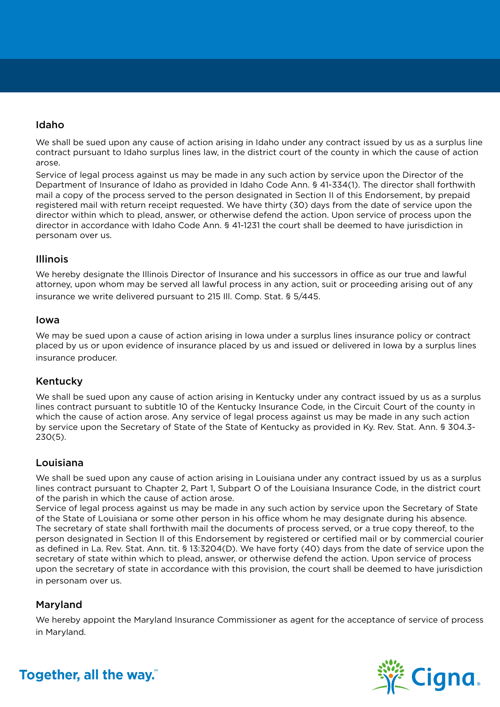### Idaho

We shall be sued upon any cause of action arising in Idaho under any contract issued by us as a surplus line contract pursuant to Idaho surplus lines law, in the district court of the county in which the cause of action arose.

Service of legal process against us may be made in any such action by service upon the Director of the Department of Insurance of Idaho as provided in Idaho Code Ann. § 41-334(1). The director shall forthwith mail a copy of the process served to the person designated in Section II of this Endorsement, by prepaid registered mail with return receipt requested. We have thirty (30) days from the date of service upon the director within which to plead, answer, or otherwise defend the action. Upon service of process upon the director in accordance with Idaho Code Ann. § 41-1231 the court shall be deemed to have jurisdiction in personam over us.

### Illinois

We hereby designate the Illinois Director of Insurance and his successors in office as our true and lawful attorney, upon whom may be served all lawful process in any action, suit or proceeding arising out of any insurance we write delivered pursuant to 215 Ill. Comp. Stat. § 5/445.

#### Iowa

We may be sued upon a cause of action arising in Iowa under a surplus lines insurance policy or contract placed by us or upon evidence of insurance placed by us and issued or delivered in Iowa by a surplus lines insurance producer.

### Kentucky

We shall be sued upon any cause of action arising in Kentucky under any contract issued by us as a surplus lines contract pursuant to subtitle 10 of the Kentucky Insurance Code, in the Circuit Court of the county in which the cause of action arose. Any service of legal process against us may be made in any such action by service upon the Secretary of State of the State of Kentucky as provided in Ky. Rev. Stat. Ann. § 304.3- 230(5).

### Louisiana

We shall be sued upon any cause of action arising in Louisiana under any contract issued by us as a surplus lines contract pursuant to Chapter 2, Part 1, Subpart O of the Louisiana Insurance Code, in the district court of the parish in which the cause of action arose.

Service of legal process against us may be made in any such action by service upon the Secretary of State of the State of Louisiana or some other person in his office whom he may designate during his absence. The secretary of state shall forthwith mail the documents of process served, or a true copy thereof, to the person designated in Section II of this Endorsement by registered or certified mail or by commercial courier as defined in La. Rev. Stat. Ann. tit. § 13:3204(D). We have forty (40) days from the date of service upon the secretary of state within which to plead, answer, or otherwise defend the action. Upon service of process upon the secretary of state in accordance with this provision, the court shall be deemed to have jurisdiction in personam over us.

### Maryland

We hereby appoint the Maryland Insurance Commissioner as agent for the acceptance of service of process in Maryland.



# Together, all the way."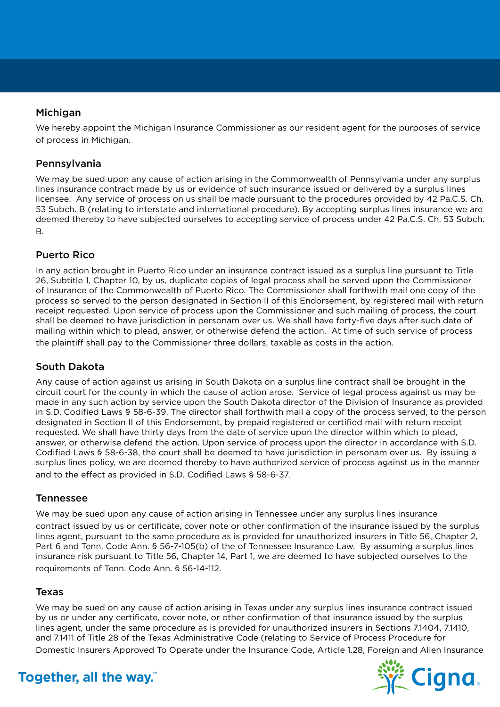### **Michigan**

We hereby appoint the Michigan Insurance Commissioner as our resident agent for the purposes of service of process in Michigan.

### Pennsylvania

We may be sued upon any cause of action arising in the Commonwealth of Pennsylvania under any surplus lines insurance contract made by us or evidence of such insurance issued or delivered by a surplus lines licensee. Any service of process on us shall be made pursuant to the procedures provided by 42 Pa.C.S. Ch. 53 Subch. B (relating to interstate and international procedure). By accepting surplus lines insurance we are deemed thereby to have subjected ourselves to accepting service of process under 42 Pa.C.S. Ch. 53 Subch. B.

### Puerto Rico

In any action brought in Puerto Rico under an insurance contract issued as a surplus line pursuant to Title 26, Subtitle 1, Chapter 10, by us, duplicate copies of legal process shall be served upon the Commissioner of Insurance of the Commonwealth of Puerto Rico. The Commissioner shall forthwith mail one copy of the process so served to the person designated in Section II of this Endorsement, by registered mail with return receipt requested. Upon service of process upon the Commissioner and such mailing of process, the court shall be deemed to have jurisdiction in personam over us. We shall have forty-five days after such date of mailing within which to plead, answer, or otherwise defend the action. At time of such service of process the plaintiff shall pay to the Commissioner three dollars, taxable as costs in the action.

### South Dakota

Any cause of action against us arising in South Dakota on a surplus line contract shall be brought in the circuit court for the county in which the cause of action arose. Service of legal process against us may be made in any such action by service upon the South Dakota director of the Division of Insurance as provided in S.D. Codified Laws § 58-6-39. The director shall forthwith mail a copy of the process served, to the person designated in Section II of this Endorsement, by prepaid registered or certified mail with return receipt requested. We shall have thirty days from the date of service upon the director within which to plead, answer, or otherwise defend the action. Upon service of process upon the director in accordance with S.D. Codified Laws § 58-6-38, the court shall be deemed to have jurisdiction in personam over us. By issuing a surplus lines policy, we are deemed thereby to have authorized service of process against us in the manner and to the effect as provided in S.D. Codified Laws § 58-6-37.

### Tennessee

We may be sued upon any cause of action arising in Tennessee under any surplus lines insurance contract issued by us or certificate, cover note or other confirmation of the insurance issued by the surplus lines agent, pursuant to the same procedure as is provided for unauthorized insurers in Title 56, Chapter 2, Part 6 and Tenn. Code Ann. § 56-7-105(b) of the of Tennessee Insurance Law. By assuming a surplus lines insurance risk pursuant to Title 56, Chapter 14, Part 1, we are deemed to have subjected ourselves to the requirements of Tenn. Code Ann. § 56-14-112.

### Texas

We may be sued on any cause of action arising in Texas under any surplus lines insurance contract issued by us or under any certificate, cover note, or other confirmation of that insurance issued by the surplus lines agent, under the same procedure as is provided for unauthorized insurers in Sections 7.1404, 7.1410, and 7.1411 of Title 28 of the Texas Administrative Code (relating to Service of Process Procedure for Domestic Insurers Approved To Operate under the Insurance Code, Article 1.28, Foreign and Alien Insurance



## Together, all the way."